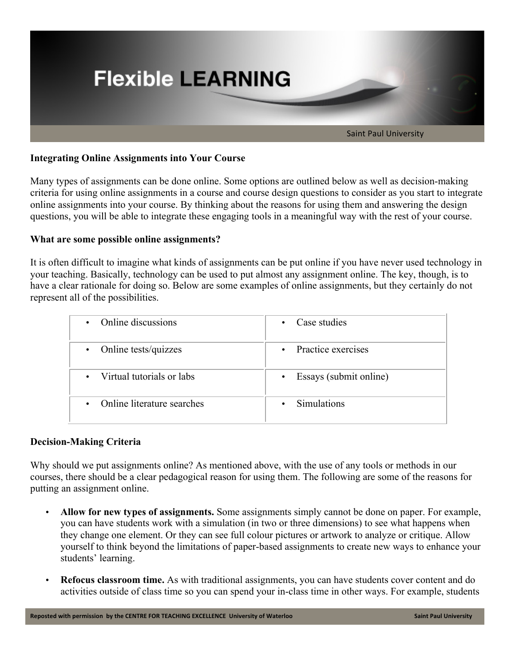

## **Integrating Online Assignments into Your Course**

Many types of assignments can be done online. Some options are outlined below as well as decision-making criteria for using online assignments in a course and course design questions to consider as you start to integrate online assignments into your course. By thinking about the reasons for using them and answering the design questions, you will be able to integrate these engaging tools in a meaningful way with the rest of your course.

## **What are some possible online assignments?**

It is often difficult to imagine what kinds of assignments can be put online if you have never used technology in your teaching. Basically, technology can be used to put almost any assignment online. The key, though, is to have a clear rationale for doing so. Below are some examples of online assignments, but they certainly do not represent all of the possibilities.

| Online discussions                      | Case studies                |
|-----------------------------------------|-----------------------------|
| $\bullet$                               | $\bullet$                   |
| Online tests/quizzes                    | Practice exercises          |
| $\bullet$                               | $\bullet$                   |
| • Virtual tutorials or labs             | Essays (submit online)<br>٠ |
| Online literature searches<br>$\bullet$ | <b>Simulations</b>          |

## **Decision-Making Criteria**

Why should we put assignments online? As mentioned above, with the use of any tools or methods in our courses, there should be a clear pedagogical reason for using them. The following are some of the reasons for putting an assignment online.

- **Allow for new types of assignments.** Some assignments simply cannot be done on paper. For example, you can have students work with a simulation (in two or three dimensions) to see what happens when they change one element. Or they can see full colour pictures or artwork to analyze or critique. Allow yourself to think beyond the limitations of paper-based assignments to create new ways to enhance your students' learning.
- **Refocus classroom time.** As with traditional assignments, you can have students cover content and do activities outside of class time so you can spend your in-class time in other ways. For example, students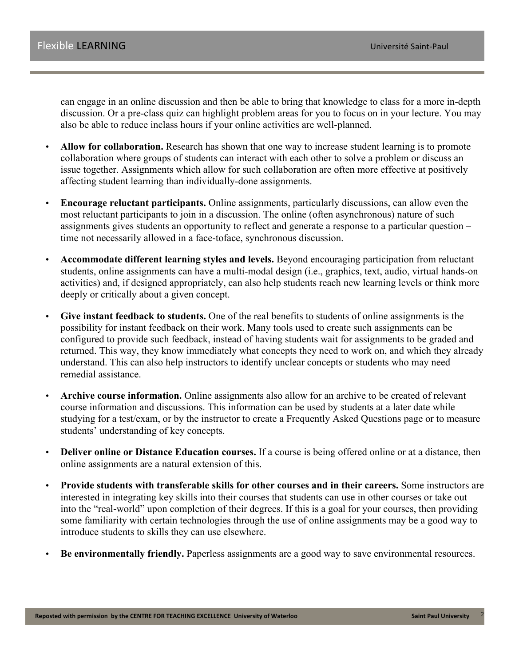can engage in an online discussion and then be able to bring that knowledge to class for a more in-depth discussion. Or a pre-class quiz can highlight problem areas for you to focus on in your lecture. You may also be able to reduce inclass hours if your online activities are well-planned.

- **Allow for collaboration.** Research has shown that one way to increase student learning is to promote collaboration where groups of students can interact with each other to solve a problem or discuss an issue together. Assignments which allow for such collaboration are often more effective at positively affecting student learning than individually-done assignments.
- **Encourage reluctant participants.** Online assignments, particularly discussions, can allow even the most reluctant participants to join in a discussion. The online (often asynchronous) nature of such assignments gives students an opportunity to reflect and generate a response to a particular question – time not necessarily allowed in a face-toface, synchronous discussion.
- **Accommodate different learning styles and levels.** Beyond encouraging participation from reluctant students, online assignments can have a multi-modal design (i.e., graphics, text, audio, virtual hands-on activities) and, if designed appropriately, can also help students reach new learning levels or think more deeply or critically about a given concept.
- **Give instant feedback to students.** One of the real benefits to students of online assignments is the possibility for instant feedback on their work. Many tools used to create such assignments can be configured to provide such feedback, instead of having students wait for assignments to be graded and returned. This way, they know immediately what concepts they need to work on, and which they already understand. This can also help instructors to identify unclear concepts or students who may need remedial assistance.
- **Archive course information.** Online assignments also allow for an archive to be created of relevant course information and discussions. This information can be used by students at a later date while studying for a test/exam, or by the instructor to create a Frequently Asked Questions page or to measure students' understanding of key concepts.
- **Deliver online or Distance Education courses.** If a course is being offered online or at a distance, then online assignments are a natural extension of this.
- **Provide students with transferable skills for other courses and in their careers.** Some instructors are interested in integrating key skills into their courses that students can use in other courses or take out into the "real-world" upon completion of their degrees. If this is a goal for your courses, then providing some familiarity with certain technologies through the use of online assignments may be a good way to introduce students to skills they can use elsewhere.
- **Be environmentally friendly.** Paperless assignments are a good way to save environmental resources.